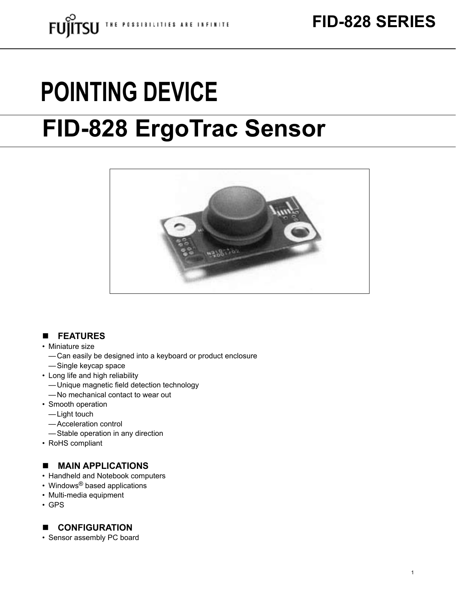# **POINTING DEVICE**

## **FID-828 ErgoTrac Sensor**



#### n **FEATURES**

- Miniature size
	- Can easily be designed into a keyboard or product enclosure
	- — Single keycap space
- • Long life and high reliability
	- -Unique magnetic field detection technology
	- -No mechanical contact to wear out
- Smooth operation
	- $-\mathsf{Light}$  touch
	- — Acceleration control
	- — Stable operation in any direction
- RoHS compliant

#### **NAIN APPLICATIONS**

- Handheld and Notebook computers
- Windows<sup>®</sup> based applications
- • Multi-media equipment
- • GPS

#### **n CONFIGURATION**

• Sensor assembly PC board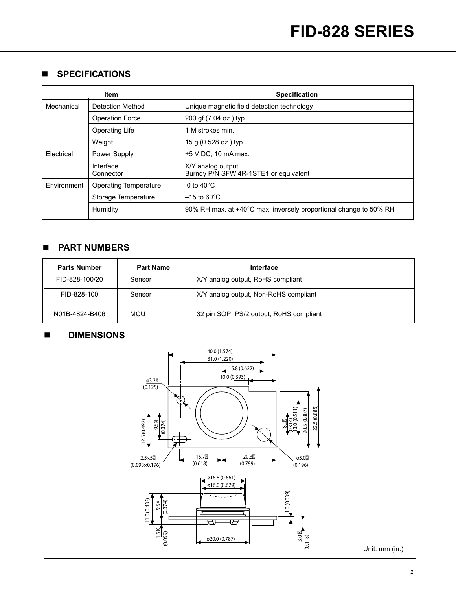#### **n** SPECIFICATIONS

| Item        |                              | <b>Specification</b>                                              |
|-------------|------------------------------|-------------------------------------------------------------------|
| Mechanical  | <b>Detection Method</b>      | Unique magnetic field detection technology                        |
|             | <b>Operation Force</b>       | 200 gf (7.04 oz.) typ.                                            |
|             | <b>Operating Life</b>        | 1 M strokes min.                                                  |
|             | Weight                       | 15 g (0.528 oz.) typ.                                             |
| Electrical  | Power Supply                 | $+5$ V DC, 10 mA max.                                             |
|             | <b>Interface</b>             | X/Y analog output                                                 |
|             | Connector                    | Burndy P/N SFW 4R-1STE1 or equivalent                             |
| Environment | <b>Operating Temperature</b> | 0 to $40^{\circ}$ C                                               |
|             | Storage Temperature          | $-15$ to 60 $^{\circ}$ C                                          |
|             | Humidity                     | 90% RH max. at +40°C max. inversely proportional change to 50% RH |

#### n **PART NUMBERS**

| <b>Parts Number</b> | <b>Part Name</b> | Interface                               |
|---------------------|------------------|-----------------------------------------|
| FID-828-100/20      | Sensor           | X/Y analog output, RoHS compliant       |
| FID-828-100         | Sensor           | X/Y analog output, Non-RoHS compliant   |
| N01B-4824-B406      | <b>MCU</b>       | 32 pin SOP; PS/2 output, RoHS compliant |

#### n **DIMENSIONS**

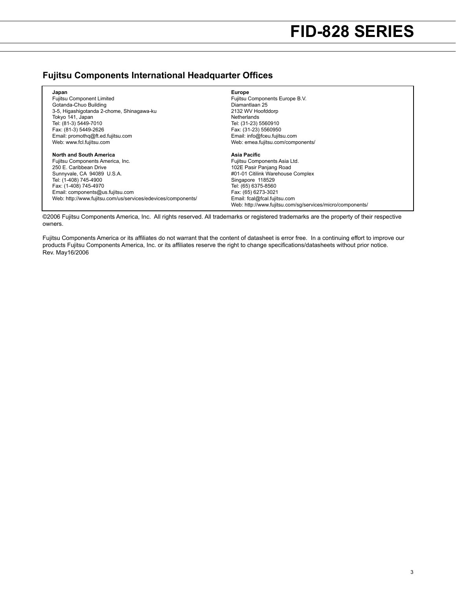#### **Fujitsu Components International Headquarter Offices**

| Japan                                                        | <b>Europe</b>                                             |
|--------------------------------------------------------------|-----------------------------------------------------------|
| <b>Fujitsu Component Limited</b>                             | Fujitsu Components Europe B.V.                            |
| Gotanda-Chuo Building                                        | Diamantlaan 25                                            |
| 3-5, Higashigotanda 2-chome, Shinagawa-ku                    | 2132 WV Hoofddorp                                         |
| Tokyo 141, Japan                                             | Netherlands                                               |
| Tel: (81-3) 5449-7010                                        | Tel: (31-23) 5560910                                      |
| Fax: (81-3) 5449-2626                                        | Fax: (31-23) 5560950                                      |
| Email: promothg@ft.ed.fujitsu.com                            | Email: info@fceu.fujitsu.com                              |
| Web: www.fcl.fujitsu.com                                     | Web: emea.fujitsu.com/components/                         |
| North and South America                                      | Asia Pacific                                              |
| Fujitsu Components America, Inc.                             | Fujitsu Components Asia Ltd.                              |
| 250 E. Caribbean Drive                                       | 102E Pasir Panjang Road                                   |
| Sunnyvale, CA 94089 U.S.A.                                   | #01-01 Citilink Warehouse Complex                         |
| Tel: (1-408) 745-4900                                        | Singapore 118529                                          |
| Fax: (1-408) 745-4970                                        | Tel: (65) 6375-8560                                       |
| Email: components@us.fujitsu.com                             | Fax: (65) 6273-3021                                       |
| Web: http://www.fujitsu.com/us/services/edevices/components/ | Email: fcal@fcal.fujitsu.com                              |
|                                                              | Web: http://www.fujitsu.com/sq/services/micro/components/ |

©2006 Fujitsu Components America, Inc. All rights reserved. All trademarks or registered trademarks are the property of their respective owners.

Fujitsu Components America or its affiliates do not warrant that the content of datasheet is error free. In a continuing effort to improve our products Fujitsu Components America, Inc. or its affiliates reserve the right to change specifications/datasheets without prior notice. Rev. May16/2006